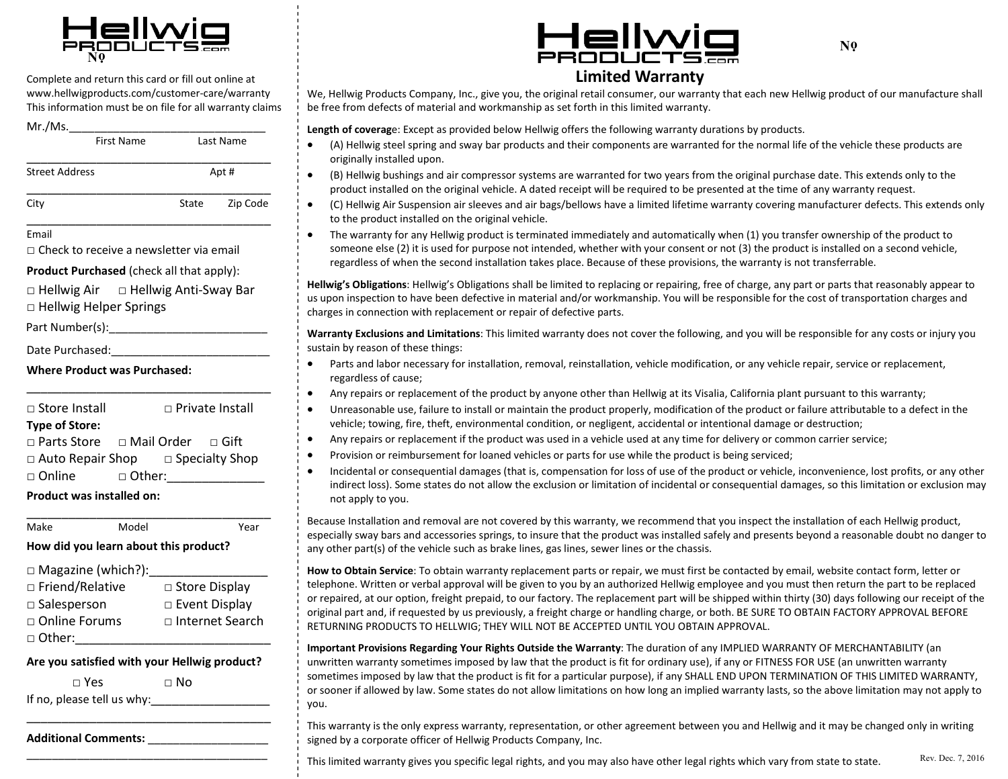

Complete and return this card or fill out online at www.hellwigproducts.com/customer-care/warranty This information must be on file for all warranty claims

| Mr./Ms.               | <b>First Name</b> | Last Name |          |
|-----------------------|-------------------|-----------|----------|
| <b>Street Address</b> |                   | Apt#      |          |
| City                  |                   | State     | Zip Code |
| Email                 |                   |           |          |

Check to receive a newsletter via email

**Product Purchased** (check all that apply):

Hellwig Air Hellwig Anti-Sway Bar

Hellwig Helper Springs

Part Number(s):\_\_\_\_\_\_\_\_\_\_\_\_\_\_\_\_\_\_\_\_\_\_\_\_\_

Date Purchased:

**Where Product was Purchased:**

**Type of Store:** Store Install Private Install

\_\_\_\_\_\_\_\_\_\_\_\_\_\_\_\_\_\_\_\_\_\_\_\_\_\_\_\_\_\_\_\_\_\_\_

Parts Store Mail OrderGift Auto Repair Shop Specialty Shop □ Online □ Other:\_\_\_\_\_\_\_\_\_\_\_\_\_\_\_\_\_

\_\_\_\_\_\_\_\_\_\_\_\_\_\_\_\_\_\_\_\_\_\_\_\_\_\_\_\_\_\_\_\_\_\_\_

**Product was installed on:** 

Make Model Year **How did you learn about this product?**

 $\Box$  Magazine (which?): Friend/RelativeStore Display Salesperson Event Display Online Forums Internet Search

 $\Box$  Other:

**Are you satisfied with your Hellwig product?**

\_\_\_\_\_\_\_\_\_\_\_\_\_\_\_\_\_\_\_\_\_\_\_\_\_\_\_\_\_\_\_\_\_\_\_\_\_\_

 $\neg$  Yes  $\neg$  No If no, please tell us why:\_\_\_\_\_\_\_\_\_\_\_\_\_\_\_\_\_

\_\_\_\_\_\_\_\_\_\_\_\_\_\_\_\_\_\_\_\_\_\_\_\_\_\_\_\_\_\_\_\_\_\_\_

**Additional Comments:** \_\_\_\_\_\_\_\_\_\_\_\_\_\_\_\_\_\_\_



## **Limited Warranty**

We, Hellwig Products Company, Inc., give you, the original retail consumer, our warranty that each new Hellwig product of our manufacture shall be free from defects of material and workmanship as set forth in this limited warranty.

**Length of coverag**e: Except as provided below Hellwig offers the following warranty durations by products.

- (A) Hellwig steel spring and sway bar products and their components are warranted for the normal life of the vehicle these products are originally installed upon.
- (B) Hellwig bushings and air compressor systems are warranted for two years from the original purchase date. This extends only to the product installed on the original vehicle. A dated receipt will be required to be presented at the time of any warranty request.
	- (C) Hellwig Air Suspension air sleeves and air bags/bellows have a limited lifetime warranty covering manufacturer defects. This extends only to the product installed on the original vehicle.
	- The warranty for any Hellwig product is terminated immediately and automatically when (1) you transfer ownership of the product to someone else (2) it is used for purpose not intended, whether with your consent or not (3) the product is installed on a second vehicle, regardless of when the second installation takes place. Because of these provisions, the warranty is not transferrable.

Hellwig's Obligations: Hellwig's Obligations shall be limited to replacing or repairing, free of charge, any part or parts that reasonably appear to us upon inspection to have been defective in material and/or workmanship. You will be responsible for the cost of transportation charges and charges in connection with replacement or repair of defective parts.

**Warranty Exclusions and Limitations**: This limited warranty does not cover the following, and you will be responsible for any costs or injury you sustain by reason of these things:

- Parts and labor necessary for installation, removal, reinstallation, vehicle modification, or any vehicle repair, service or replacement, regardless of cause;
- Any repairs or replacement of the product by anyone other than Hellwig at its Visalia, California plant pursuant to this warranty;
- Unreasonable use, failure to install or maintain the product properly, modification of the product or failure attributable to a defect in the vehicle; towing, fire, theft, environmental condition, or negligent, accidental or intentional damage or destruction;
- Any repairs or replacement if the product was used in a vehicle used at any time for delivery or common carrier service;
- Provision or reimbursement for loaned vehicles or parts for use while the product is being serviced;
- Incidental or consequential damages (that is, compensation for loss of use of the product or vehicle, inconvenience, lost profits, or any other indirect loss). Some states do not allow the exclusion or limitation of incidental or consequential damages, so this limitation or exclusion may not apply to you.

Because Installation and removal are not covered by this warranty, we recommend that you inspect the installation of each Hellwig product, especially sway bars and accessories springs, to insure that the product was installed safely and presents beyond a reasonable doubt no danger to any other part(s) of the vehicle such as brake lines, gas lines, sewer lines or the chassis.

**How to Obtain Service**: To obtain warranty replacement parts or repair, we must first be contacted by email, website contact form, letter or telephone. Written or verbal approval will be given to you by an authorized Hellwig employee and you must then return the part to be replaced or repaired, at our option, freight prepaid, to our factory. The replacement part will be shipped within thirty (30) days following our receipt of the original part and, if requested by us previously, a freight charge or handling charge, or both. BE SURE TO OBTAIN FACTORY APPROVAL BEFORE RETURNING PRODUCTS TO HELLWIG; THEY WILL NOT BE ACCEPTED UNTIL YOU OBTAIN APPROVAL.

**Important Provisions Regarding Your Rights Outside the Warranty**: The duration of any IMPLIED WARRANTY OF MERCHANTABILITY (an unwritten warranty sometimes imposed by law that the product is fit for ordinary use), if any or FITNESS FOR USE (an unwritten warranty sometimes imposed by law that the product is fit for a particular purpose), if any SHALL END UPON TERMINATION OF THIS LIMITED WARRANTY, or sooner if allowed by law. Some states do not allow limitations on how long an implied warranty lasts, so the above limitation may not apply to you.

This warranty is the only express warranty, representation, or other agreement between you and Hellwig and it may be changed only in writing signed by a corporate officer of Hellwig Products Company, Inc.

This limited warranty gives you specific legal rights, and you may also have other legal rights which vary from state to state. Rev. Dec. 7, 2016

**N 0**